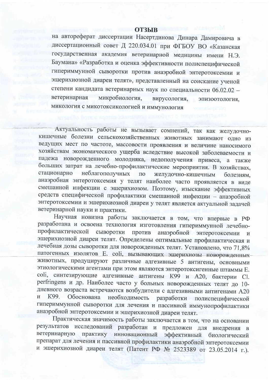## **ОТЗЫВ**

на автореферат диссертации Насертдинова Динара Дамировича в диссертационный совет Д 220.034.01 при ФГБОУ ВО «Казанская государственная академия ветеринарной медицины имени Н.Э. Баумана» «Разработка и оценка эффективности полиспецифической гипериммунной сыворотки против анаэробной энтеротоксемии и эшерихиозной диареи телят», представленный на соискание ученой степени кандидата ветеринарных наук по специальности 06.02.02 ветеринарная микробиология, вирусология, эпизоотология, микология с микотоксикологией и иммунология

Актуальность работы не вызывает сомнений, так как желудочнокишечные болезни сельскохозяйственных животных занимают одно из ведущих мест по частоте, массовости проявления и величине наносимого хозяйствам экономического ущерба вследствие высокой заболеваемости и падежа новорожденного молодняка, недополучения привеса, а также больших затрат на лечебно-профилактические мероприятия. В хозяйствах, неблагополучных стационарно желудочно-кишечным  $\Pi$ O болезням, анаэробная энтеротоксемия у телят наиболее часто проявляется в виде смешанной инфекции с эшерихиозом. Поэтому, изыскание эффективных средств специфической профилактики смешанной инфекции - анаэробной энтеротоксемии и эшерихиозной диареи у телят является актуальной задачей ветеринарной науки и практики.

Научная новизна работы заключается в том, что впервые в РФ разработана и освоена технология изготовления гипериммунной лечебнопрофилактической сыворотки против анаэробной энтеротоксемии  $\mathbf{M}$ эшерихиозной диареи телят. Определены оптимальные профилактическая и лечебная дозы сыворотки для новорожденных телят. Установлено, что 71,8% патогенных изолятов E. coli, вызывающих эшерихиозы новорожденных животных, продуцируют различные адгезивные 5 антигены, основными этиологическими агентами при этом являются энтеротоксигенные штаммы Е. coli, синтезирующие адгезивные антигены К99 и А20, бактерии Cl. perfringens и др. Наиболее часто у больных новорожденных телят до 10дневного возраста встречаются возбудители с адгезивными антигенами А20 необходимость разработки полиспецифической  $\overline{\mathbf{M}}$ K99. Обоснована гипериммунной сыворотки для лечения и пассивной иммунопрофилактики анаэробной энтеротоксемии и эшерихиозной диареи телят.

Практическая значимость работы заключается в том, что на основании результатов исследований разработан и предложен для внедрения в ветеринарную практику инновационный эффективный биологический препарат для лечения и пассивной профилактики анаэробной энтеротоксемии и эшерихиозной диареи телят (Патент РФ № 2523389 от 23.05.2014 г.).